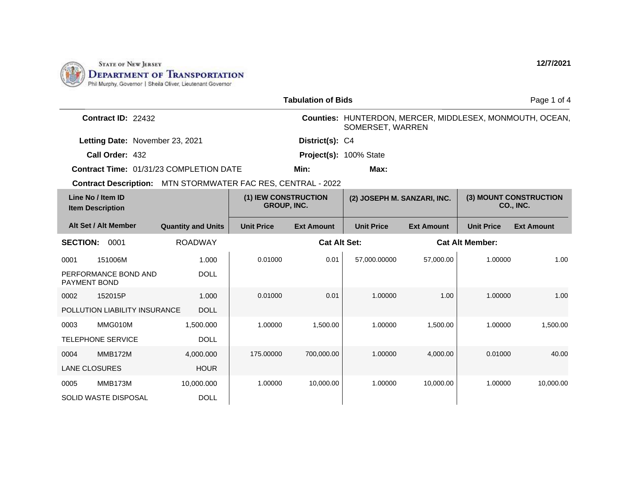

| <b>Tabulation of Bids</b>                                    |                                                                           |                   |                     |                                                                              |                   |                        | Page 1 of 4       |
|--------------------------------------------------------------|---------------------------------------------------------------------------|-------------------|---------------------|------------------------------------------------------------------------------|-------------------|------------------------|-------------------|
| <b>Contract ID: 22432</b>                                    |                                                                           |                   |                     | Counties: HUNTERDON, MERCER, MIDDLESEX, MONMOUTH, OCEAN,<br>SOMERSET, WARREN |                   |                        |                   |
| Letting Date: November 23, 2021                              |                                                                           |                   | District(s): C4     |                                                                              |                   |                        |                   |
| Call Order: 432                                              |                                                                           |                   |                     | Project(s): 100% State                                                       |                   |                        |                   |
| <b>Contract Time: 01/31/23 COMPLETION DATE</b>               |                                                                           |                   | Min:                | Max:                                                                         |                   |                        |                   |
| Contract Description: MTN STORMWATER FAC RES, CENTRAL - 2022 |                                                                           |                   |                     |                                                                              |                   |                        |                   |
| Line No / Item ID<br><b>Item Description</b>                 | (1) IEW CONSTRUCTION<br>(2) JOSEPH M. SANZARI, INC.<br><b>GROUP, INC.</b> |                   |                     | (3) MOUNT CONSTRUCTION<br>CO., INC.                                          |                   |                        |                   |
| Alt Set / Alt Member                                         | <b>Quantity and Units</b>                                                 | <b>Unit Price</b> | <b>Ext Amount</b>   | <b>Unit Price</b>                                                            | <b>Ext Amount</b> | <b>Unit Price</b>      | <b>Ext Amount</b> |
| <b>SECTION:</b><br>0001                                      | <b>ROADWAY</b>                                                            |                   | <b>Cat Alt Set:</b> |                                                                              |                   | <b>Cat Alt Member:</b> |                   |
| 151006M<br>0001                                              | 1.000                                                                     | 0.01000           | 0.01                | 57,000.00000                                                                 | 57,000.00         | 1.00000                | 1.00              |
| PERFORMANCE BOND AND<br><b>PAYMENT BOND</b>                  | <b>DOLL</b>                                                               |                   |                     |                                                                              |                   |                        |                   |
| 152015P<br>0002                                              | 1.000                                                                     | 0.01000           | 0.01                | 1.00000                                                                      | 1.00              | 1.00000                | 1.00              |
| POLLUTION LIABILITY INSURANCE                                | <b>DOLL</b>                                                               |                   |                     |                                                                              |                   |                        |                   |
| MMG010M<br>0003                                              | 1,500.000                                                                 | 1.00000           | 1.500.00            | 1.00000                                                                      | 1,500.00          | 1.00000                | 1.500.00          |
| <b>TELEPHONE SERVICE</b>                                     | <b>DOLL</b>                                                               |                   |                     |                                                                              |                   |                        |                   |
| <b>MMB172M</b><br>0004                                       | 4,000.000                                                                 | 175,00000         | 700,000.00          | 1.00000                                                                      | 4,000.00          | 0.01000                | 40.00             |
| <b>LANE CLOSURES</b>                                         | <b>HOUR</b>                                                               |                   |                     |                                                                              |                   |                        |                   |
| MMB173M<br>0005                                              | 10,000.000                                                                | 1.00000           | 10,000.00           | 1.00000                                                                      | 10,000.00         | 1.00000                | 10,000.00         |
| <b>SOLID WASTE DISPOSAL</b>                                  | <b>DOLL</b>                                                               |                   |                     |                                                                              |                   |                        |                   |

**12/7/2021**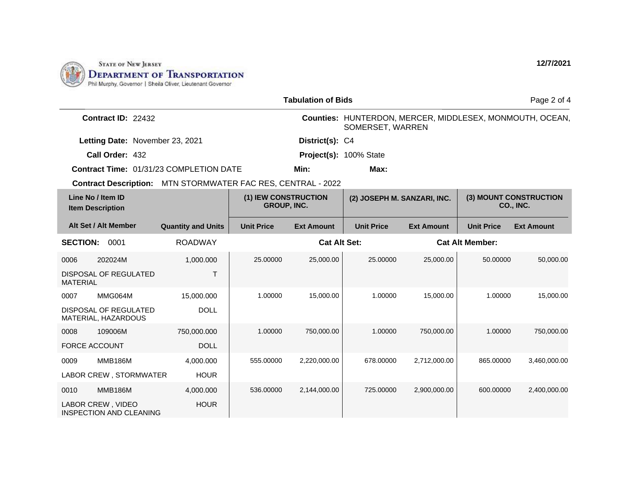

| <b>Tabulation of Bids</b>                    |                                                     |                                                                     |                   |                             |                        | Page 2 of 4                         |                        |                                                          |
|----------------------------------------------|-----------------------------------------------------|---------------------------------------------------------------------|-------------------|-----------------------------|------------------------|-------------------------------------|------------------------|----------------------------------------------------------|
|                                              | <b>Contract ID: 22432</b>                           |                                                                     |                   |                             | SOMERSET, WARREN       |                                     |                        | Counties: HUNTERDON, MERCER, MIDDLESEX, MONMOUTH, OCEAN, |
|                                              | Letting Date: November 23, 2021                     |                                                                     |                   | District(s): C4             |                        |                                     |                        |                                                          |
|                                              | Call Order: 432                                     |                                                                     |                   |                             | Project(s): 100% State |                                     |                        |                                                          |
|                                              |                                                     | <b>Contract Time: 01/31/23 COMPLETION DATE</b>                      |                   | Min:                        | Max:                   |                                     |                        |                                                          |
|                                              |                                                     | <b>Contract Description: MTN STORMWATER FAC RES, CENTRAL - 2022</b> |                   |                             |                        |                                     |                        |                                                          |
| Line No / Item ID<br><b>Item Description</b> |                                                     | (1) IEW CONSTRUCTION<br><b>GROUP, INC.</b>                          |                   | (2) JOSEPH M. SANZARI, INC. |                        | (3) MOUNT CONSTRUCTION<br>CO., INC. |                        |                                                          |
|                                              | Alt Set / Alt Member                                | <b>Quantity and Units</b>                                           | <b>Unit Price</b> | <b>Ext Amount</b>           | <b>Unit Price</b>      | <b>Ext Amount</b>                   | <b>Unit Price</b>      | <b>Ext Amount</b>                                        |
| <b>SECTION:</b>                              | 0001                                                | <b>ROADWAY</b>                                                      |                   | <b>Cat Alt Set:</b>         |                        |                                     | <b>Cat Alt Member:</b> |                                                          |
| 0006                                         | 202024M                                             | 1,000.000                                                           | 25.00000          | 25,000.00                   | 25.00000               | 25,000.00                           | 50.00000               | 50,000.00                                                |
| <b>MATERIAL</b>                              | <b>DISPOSAL OF REGULATED</b>                        | T                                                                   |                   |                             |                        |                                     |                        |                                                          |
| 0007                                         | MMG064M                                             | 15,000.000                                                          | 1.00000           | 15,000.00                   | 1.00000                | 15,000.00                           | 1.00000                | 15,000.00                                                |
|                                              | <b>DISPOSAL OF REGULATED</b><br>MATERIAL, HAZARDOUS | <b>DOLL</b>                                                         |                   |                             |                        |                                     |                        |                                                          |
| 0008                                         | 109006M                                             | 750,000.000                                                         | 1.00000           | 750,000.00                  | 1.00000                | 750,000.00                          | 1.00000                | 750,000.00                                               |
| FORCE ACCOUNT                                |                                                     | <b>DOLL</b>                                                         |                   |                             |                        |                                     |                        |                                                          |
| 0009                                         | <b>MMB186M</b>                                      | 4,000.000                                                           | 555.00000         | 2,220,000.00                | 678.00000              | 2,712,000.00                        | 865.00000              | 3,460,000.00                                             |
|                                              | LABOR CREW, STORMWATER                              | <b>HOUR</b>                                                         |                   |                             |                        |                                     |                        |                                                          |
| 0010                                         | <b>MMB186M</b>                                      | 4,000.000                                                           | 536.00000         | 2,144,000.00                | 725.00000              | 2,900,000.00                        | 600.00000              | 2,400,000.00                                             |
|                                              | LABOR CREW, VIDEO<br><b>INSPECTION AND CLEANING</b> | <b>HOUR</b>                                                         |                   |                             |                        |                                     |                        |                                                          |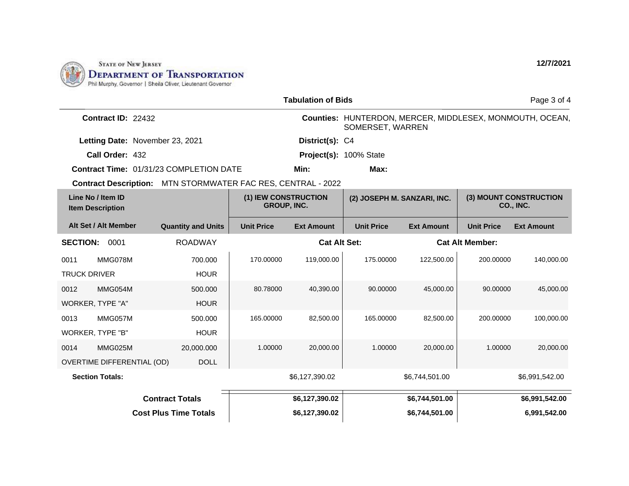

| <b>Tabulation of Bids</b>                    |                                 |                                                              |                   |                             |                        |                                            | Page 3 of 4       |                                                          |
|----------------------------------------------|---------------------------------|--------------------------------------------------------------|-------------------|-----------------------------|------------------------|--------------------------------------------|-------------------|----------------------------------------------------------|
|                                              | Contract ID: 22432              |                                                              |                   |                             | SOMERSET, WARREN       |                                            |                   | Counties: HUNTERDON, MERCER, MIDDLESEX, MONMOUTH, OCEAN, |
|                                              | Letting Date: November 23, 2021 |                                                              |                   | District(s): C4             |                        |                                            |                   |                                                          |
|                                              | Call Order: 432                 |                                                              |                   |                             | Project(s): 100% State |                                            |                   |                                                          |
|                                              |                                 | <b>Contract Time: 01/31/23 COMPLETION DATE</b>               |                   | Min:                        | Max:                   |                                            |                   |                                                          |
|                                              |                                 | Contract Description: MTN STORMWATER FAC RES, CENTRAL - 2022 |                   |                             |                        |                                            |                   |                                                          |
| Line No / Item ID<br><b>Item Description</b> |                                 | (1) IEW CONSTRUCTION<br><b>GROUP, INC.</b>                   |                   | (2) JOSEPH M. SANZARI, INC. |                        | (3) MOUNT CONSTRUCTION<br><b>CO., INC.</b> |                   |                                                          |
|                                              | Alt Set / Alt Member            | <b>Quantity and Units</b>                                    | <b>Unit Price</b> | <b>Ext Amount</b>           | <b>Unit Price</b>      | <b>Ext Amount</b>                          | <b>Unit Price</b> | <b>Ext Amount</b>                                        |
| <b>SECTION:</b>                              | 0001                            | <b>ROADWAY</b>                                               |                   | <b>Cat Alt Set:</b>         |                        | <b>Cat Alt Member:</b>                     |                   |                                                          |
| 0011                                         | MMG078M                         | 700.000                                                      | 170.00000         | 119,000.00                  | 175,00000              | 122.500.00                                 | 200.00000         | 140,000.00                                               |
| <b>TRUCK DRIVER</b>                          |                                 | <b>HOUR</b>                                                  |                   |                             |                        |                                            |                   |                                                          |
| 0012                                         | MMG054M                         | 500,000                                                      | 80.78000          | 40,390.00                   | 90.00000               | 45,000.00                                  | 90.00000          | 45,000.00                                                |
|                                              | WORKER, TYPE "A"                | <b>HOUR</b>                                                  |                   |                             |                        |                                            |                   |                                                          |
| 0013                                         | MMG057M                         | 500.000                                                      | 165.00000         | 82,500.00                   | 165.00000              | 82,500.00                                  | 200.00000         | 100,000.00                                               |
|                                              | WORKER, TYPE "B"                | <b>HOUR</b>                                                  |                   |                             |                        |                                            |                   |                                                          |
| 0014                                         | MMG025M                         | 20,000.000                                                   | 1.00000           | 20,000.00                   | 1.00000                | 20,000,00                                  | 1.00000           | 20,000.00                                                |
|                                              | OVERTIME DIFFERENTIAL (OD)      | <b>DOLL</b>                                                  |                   |                             |                        |                                            |                   |                                                          |
|                                              | <b>Section Totals:</b>          |                                                              |                   | \$6,127,390.02              |                        | \$6,744,501.00                             |                   | \$6,991,542.00                                           |
| <b>Contract Totals</b>                       |                                 |                                                              |                   | \$6,127,390.02              |                        | \$6,744,501.00                             |                   | \$6,991,542.00                                           |
| <b>Cost Plus Time Totals</b>                 |                                 |                                                              |                   | \$6,127,390.02              |                        | \$6,744,501.00                             |                   | 6,991,542.00                                             |

**12/7/2021**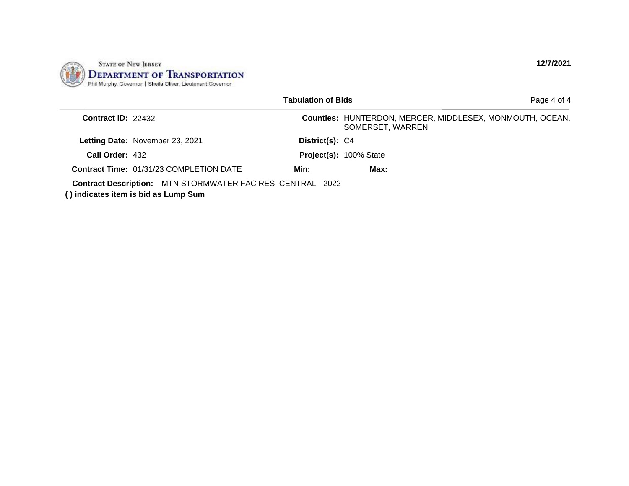

|                      |                                                                                                             | <b>Tabulation of Bids</b> | Page 4 of 4                                                                  |
|----------------------|-------------------------------------------------------------------------------------------------------------|---------------------------|------------------------------------------------------------------------------|
| Contract $ID: 22432$ |                                                                                                             |                           | Counties: HUNTERDON, MERCER, MIDDLESEX, MONMOUTH, OCEAN,<br>SOMERSET, WARREN |
|                      | Letting Date: November 23, 2021                                                                             | District(s): C4           |                                                                              |
| Call Order: 432      |                                                                                                             |                           | Project(s): 100% State                                                       |
|                      | <b>Contract Time: 01/31/23 COMPLETION DATE</b>                                                              | Min:                      | Max:                                                                         |
|                      | <b>Contract Description:</b> MTN STORMWATER FAC RES, CENTRAL - 2022<br>() indicates item is bid as Lump Sum |                           |                                                                              |